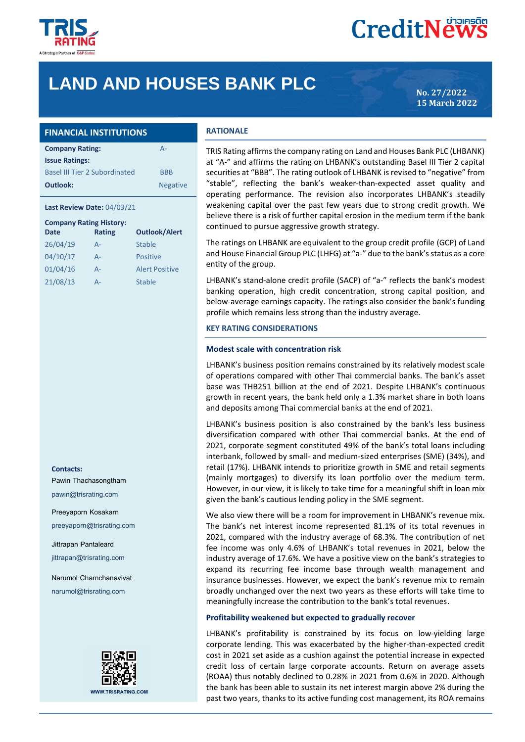

# **CreditNews**

# **LAND AND HOUSES BANK PLC**

**15 March 2022**

| <b>FINANCIAL INSTITUTIONS</b>        |                 |
|--------------------------------------|-----------------|
| <b>Company Rating:</b>               | $A -$           |
| <b>Issue Ratings:</b>                |                 |
| <b>Basel III Tier 2 Subordinated</b> | <b>BBB</b>      |
| Outlook:                             | <b>Negative</b> |

#### **Last Review Date:** 04/03/21

| <b>Company Rating History:</b><br>Date | <b>Rating</b> | <b>Outlook/Alert</b>  |
|----------------------------------------|---------------|-----------------------|
| 26/04/19                               | $A -$         | Stable                |
| 04/10/17                               | $A -$         | <b>Positive</b>       |
| 01/04/16                               | $A -$         | <b>Alert Positive</b> |
| 21/08/13                               | Д-            | Stable                |

### **Contacts:**

Pawin Thachasongtham

pawin@trisrating.com

Preeyaporn Kosakarn

preeyaporn@trisrating.com

Jittrapan Pantaleard

jittrapan@trisrating.com

Narumol Charnchanavivat

narumol@trisrating.com



#### **RATIONALE**

TRIS Rating affirms the company rating on Land and Houses Bank PLC (LHBANK) at "A-" and affirms the rating on LHBANK's outstanding Basel III Tier 2 capital securities at "BBB". The rating outlook of LHBANK is revised to "negative" from "stable", reflecting the bank's weaker-than-expected asset quality and operating performance. The revision also incorporates LHBANK's steadily weakening capital over the past few years due to strong credit growth. We believe there is a risk of further capital erosion in the medium term if the bank continued to pursue aggressive growth strategy.

The ratings on LHBANK are equivalent to the group credit profile (GCP) of Land and House Financial Group PLC (LHFG) at "a-" due to the bank's status as a core entity of the group.

LHBANK's stand-alone credit profile (SACP) of "a-" reflects the bank's modest banking operation, high credit concentration, strong capital position, and below-average earnings capacity. The ratings also consider the bank's funding profile which remains less strong than the industry average.

#### **KEY RATING CONSIDERATIONS**

#### **Modest scale with concentration risk**

LHBANK's business position remains constrained by its relatively modest scale of operations compared with other Thai commercial banks. The bank's asset base was THB251 billion at the end of 2021. Despite LHBANK's continuous growth in recent years, the bank held only a 1.3% market share in both loans and deposits among Thai commercial banks at the end of 2021.

LHBANK's business position is also constrained by the bank's less business diversification compared with other Thai commercial banks. At the end of 2021, corporate segment constituted 49% of the bank's total loans including interbank, followed by small- and medium-sized enterprises (SME) (34%), and retail (17%). LHBANK intends to prioritize growth in SME and retail segments (mainly mortgages) to diversify its loan portfolio over the medium term. However, in our view, it is likely to take time for a meaningful shift in loan mix given the bank's cautious lending policy in the SME segment.

We also view there will be a room for improvement in LHBANK's revenue mix. The bank's net interest income represented 81.1% of its total revenues in 2021, compared with the industry average of 68.3%. The contribution of net fee income was only 4.6% of LHBANK's total revenues in 2021, below the industry average of 17.6%. We have a positive view on the bank's strategies to expand its recurring fee income base through wealth management and insurance businesses. However, we expect the bank's revenue mix to remain broadly unchanged over the next two years as these efforts will take time to meaningfully increase the contribution to the bank's total revenues.

#### **Profitability weakened but expected to gradually recover**

LHBANK's profitability is constrained by its focus on low-yielding large corporate lending. This was exacerbated by the higher-than-expected credit cost in 2021 set aside as a cushion against the potential increase in expected credit loss of certain large corporate accounts. Return on average assets (ROAA) thus notably declined to 0.28% in 2021 from 0.6% in 2020. Although the bank has been able to sustain its net interest margin above 2% during the past two years, thanks to its active funding cost management, its ROA remains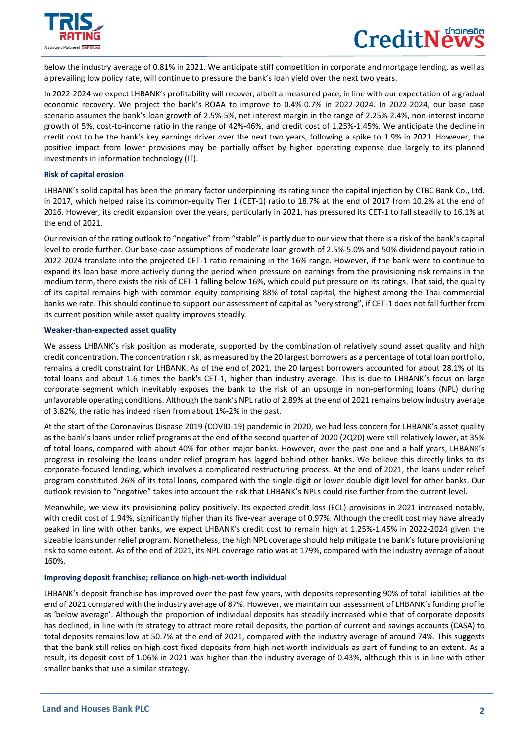

 $\overline{a}$ 

below the industry average of 0.81% in 2021. We anticipate stiff competition in corporate and mortgage lending, as well as a prevailing low policy rate, will continue to pressure the bank's loan yield over the next two years.

In 2022-2024 we expect LHBANK's profitability will recover, albeit a measured pace, in line with our expectation of a gradual economic recovery. We project the bank's ROAA to improve to 0.4%-0.7% in 2022-2024. In 2022-2024, our base case scenario assumes the bank's loan growth of 2.5%-5%, net interest margin in the range of 2.25%-2.4%, non-interest income growth of 5%, cost-to-income ratio in the range of 42%-46%, and credit cost of 1.25%-1.45%. We anticipate the decline in credit cost to be the bank's key earnings driver over the next two years, following a spike to 1.9% in 2021. However, the positive impact from lower provisions may be partially offset by higher operating expense due largely to its planned investments in information technology (IT).

### **Risk of capital erosion**

LHBANK's solid capital has been the primary factor underpinning its rating since the capital injection by CTBC Bank Co., Ltd. in 2017, which helped raise its common-equity Tier 1 (CET-1) ratio to 18.7% at the end of 2017 from 10.2% at the end of 2016. However, its credit expansion over the years, particularly in 2021, has pressured its CET-1 to fall steadily to 16.1% at the end of 2021.

Our revision of the rating outlook to "negative" from "stable" is partly due to our view that there is a risk of the bank's capital level to erode further. Our base-case assumptions of moderate loan growth of 2.5%-5.0% and 50% dividend payout ratio in 2022-2024 translate into the projected CET-1 ratio remaining in the 16% range. However, if the bank were to continue to expand its loan base more actively during the period when pressure on earnings from the provisioning risk remains in the medium term, there exists the risk of CET-1 falling below 16%, which could put pressure on its ratings. That said, the quality of its capital remains high with common equity comprising 88% of total capital, the highest among the Thai commercial banks we rate. This should continue to support our assessment of capital as "very strong", if CET-1 does not fall further from its current position while asset quality improves steadily.

# **Weaker-than-expected asset quality**

We assess LHBANK's risk position as moderate, supported by the combination of relatively sound asset quality and high credit concentration. The concentration risk, as measured by the 20 largest borrowers as a percentage of total loan portfolio, remains a credit constraint for LHBANK. As of the end of 2021, the 20 largest borrowers accounted for about 28.1% of its total loans and about 1.6 times the bank's CET-1, higher than industry average. This is due to LHBANK's focus on large corporate segment which inevitably exposes the bank to the risk of an upsurge in non-performing loans (NPL) during unfavorable operating conditions. Although the bank's NPL ratio of 2.89% at the end of 2021 remains below industry average of 3.82%, the ratio has indeed risen from about 1%-2% in the past.

At the start of the Coronavirus Disease 2019 (COVID-19) pandemic in 2020, we had less concern for LHBANK's asset quality as the bank's loans under relief programs at the end of the second quarter of 2020 (2Q20) were still relatively lower, at 35% of total loans, compared with about 40% for other major banks. However, over the past one and a half years, LHBANK's progress in resolving the loans under relief program has lagged behind other banks. We believe this directly links to its corporate-focused lending, which involves a complicated restructuring process. At the end of 2021, the loans under relief program constituted 26% of its total loans, compared with the single-digit or lower double digit level for other banks. Our outlook revision to "negative" takes into account the risk that LHBANK's NPLs could rise further from the current level.

Meanwhile, we view its provisioning policy positively. Its expected credit loss (ECL) provisions in 2021 increased notably, with credit cost of 1.94%, significantly higher than its five-year average of 0.97%. Although the credit cost may have already peaked in line with other banks, we expect LHBANK's credit cost to remain high at 1.25%-1.45% in 2022-2024 given the sizeable loans under relief program. Nonetheless, the high NPL coverage should help mitigate the bank's future provisioning risk to some extent. As of the end of 2021, its NPL coverage ratio was at 179%, compared with the industry average of about 160%.

# **Improving deposit franchise; reliance on high-net-worth individual**

LHBANK's deposit franchise has improved over the past few years, with deposits representing 90% of total liabilities at the end of 2021 compared with the industry average of 87%. However, we maintain our assessment of LHBANK's funding profile as 'below average'. Although the proportion of individual deposits has steadily increased while that of corporate deposits has declined, in line with its strategy to attract more retail deposits, the portion of current and savings accounts (CASA) to total deposits remains low at 50.7% at the end of 2021, compared with the industry average of around 74%. This suggests that the bank still relies on high-cost fixed deposits from high-net-worth individuals as part of funding to an extent. As a result, its deposit cost of 1.06% in 2021 was higher than the industry average of 0.43%, although this is in line with other smaller banks that use a similar strategy.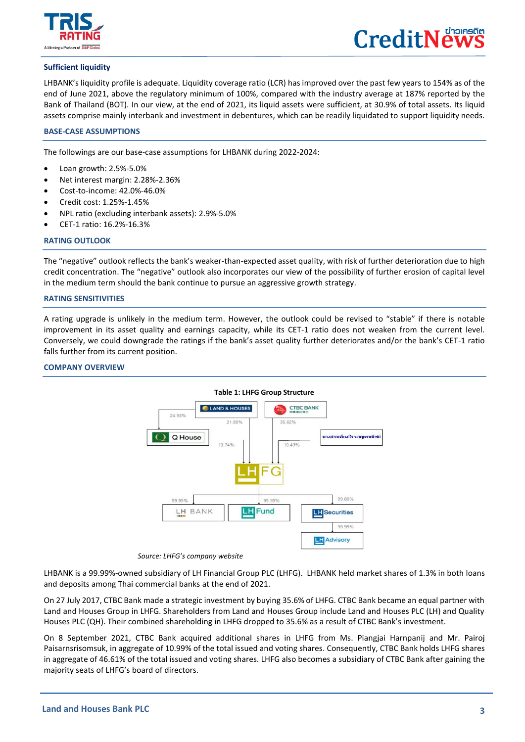

 $\overline{a}$ 



# **Sufficient liquidity**

LHBANK's liquidity profile is adequate. Liquidity coverage ratio (LCR) has improved over the past few years to 154% as of the end of June 2021, above the regulatory minimum of 100%, compared with the industry average at 187% reported by the Bank of Thailand (BOT). In our view, at the end of 2021, its liquid assets were sufficient, at 30.9% of total assets. Its liquid assets comprise mainly interbank and investment in debentures, which can be readily liquidated to support liquidity needs.

# **BASE-CASE ASSUMPTIONS**

The followings are our base-case assumptions for LHBANK during 2022-2024:

- Loan growth: 2.5%-5.0%
- Net interest margin: 2.28%-2.36%
- Cost-to-income: 42.0%-46.0%
- Credit cost: 1.25%-1.45%
- NPL ratio (excluding interbank assets): 2.9%-5.0%
- CET-1 ratio: 16.2%-16.3%

### **RATING OUTLOOK**

The "negative" outlook reflects the bank's weaker-than-expected asset quality, with risk of further deterioration due to high credit concentration. The "negative" outlook also incorporates our view of the possibility of further erosion of capital level in the medium term should the bank continue to pursue an aggressive growth strategy.

#### **RATING SENSITIVITIES**

A rating upgrade is unlikely in the medium term. However, the outlook could be revised to "stable" if there is notable improvement in its asset quality and earnings capacity, while its CET-1 ratio does not weaken from the current level. Conversely, we could downgrade the ratings if the bank's asset quality further deteriorates and/or the bank's CET-1 ratio falls further from its current position.

# **COMPANY OVERVIEW**



# **Table 1: LHFG Group Structure**

 *Source: LHFG's company website*

LHBANK is a 99.99%-owned subsidiary of LH Financial Group PLC (LHFG). LHBANK held market shares of 1.3% in both loans and deposits among Thai commercial banks at the end of 2021.

On 27 July 2017, CTBC Bank made a strategic investment by buying 35.6% of LHFG. CTBC Bank became an equal partner with Land and Houses Group in LHFG. Shareholders from Land and Houses Group include Land and Houses PLC (LH) and Quality Houses PLC (QH). Their combined shareholding in LHFG dropped to 35.6% as a result of CTBC Bank's investment.

On 8 September 2021, CTBC Bank acquired additional shares in LHFG from Ms. Piangjai Harnpanij and Mr. Pairoj Paisarnsrisomsuk, in aggregate of 10.99% of the total issued and voting shares. Consequently, CTBC Bank holds LHFG shares in aggregate of 46.61% of the total issued and voting shares. LHFG also becomes a subsidiary of CTBC Bank after gaining the majority seats of LHFG's board of directors.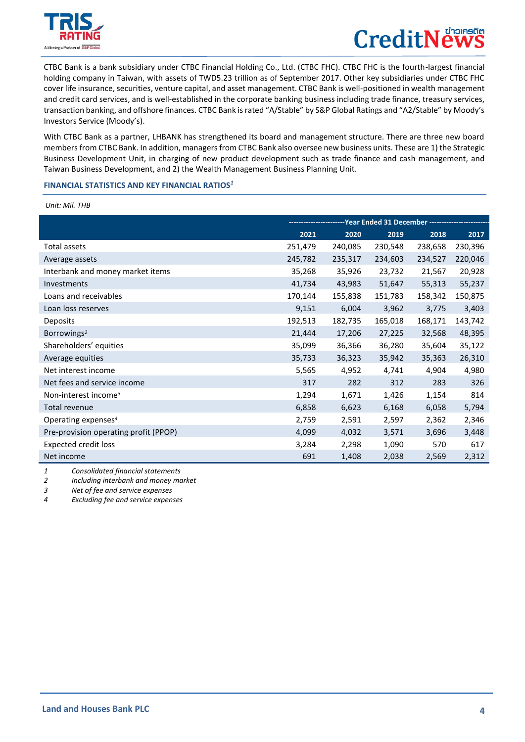

 $\overline{a}$ 

# **CreditNe**

CTBC Bank is a bank subsidiary under CTBC Financial Holding Co., Ltd. (CTBC FHC). CTBC FHC is the fourth-largest financial holding company in Taiwan, with assets of TWD5.23 trillion as of September 2017. Other key subsidiaries under CTBC FHC cover life insurance, securities, venture capital, and asset management. CTBC Bank is well-positioned in wealth management and credit card services, and is well-established in the corporate banking business including trade finance, treasury services, transaction banking, and offshore finances. CTBC Bank is rated "A/Stable" by S&P Global Ratings and "A2/Stable" by Moody's Investors Service (Moody's).

With CTBC Bank as a partner, LHBANK has strengthened its board and management structure. There are three new board members from CTBC Bank. In addition, managers from CTBC Bank also oversee new business units. These are 1) the Strategic Business Development Unit, in charging of new product development such as trade finance and cash management, and Taiwan Business Development, and 2) the Wealth Management Business Planning Unit.

### **FINANCIAL STATISTICS AND KEY FINANCIAL RATIOS***<sup>1</sup>*

*Unit: Mil. THB*

|                                       |         | ---------------Year        Ended 31 December        -------------- |         |         |         |
|---------------------------------------|---------|--------------------------------------------------------------------|---------|---------|---------|
|                                       | 2021    | 2020                                                               | 2019    | 2018    | 2017    |
| <b>Total assets</b>                   | 251,479 | 240,085                                                            | 230,548 | 238,658 | 230,396 |
| Average assets                        | 245,782 | 235,317                                                            | 234,603 | 234,527 | 220,046 |
| Interbank and money market items      | 35,268  | 35,926                                                             | 23,732  | 21,567  | 20,928  |
| Investments                           | 41,734  | 43,983                                                             | 51,647  | 55,313  | 55,237  |
| Loans and receivables                 | 170,144 | 155,838                                                            | 151,783 | 158,342 | 150,875 |
| Loan loss reserves                    | 9,151   | 6,004                                                              | 3,962   | 3,775   | 3,403   |
| Deposits                              | 192,513 | 182,735                                                            | 165,018 | 168,171 | 143,742 |
| Borrowings <sup>2</sup>               | 21,444  | 17,206                                                             | 27,225  | 32,568  | 48,395  |
| Shareholders' equities                | 35,099  | 36,366                                                             | 36,280  | 35,604  | 35,122  |
| Average equities                      | 35,733  | 36,323                                                             | 35,942  | 35,363  | 26,310  |
| Net interest income                   | 5,565   | 4,952                                                              | 4,741   | 4,904   | 4,980   |
| Net fees and service income           | 317     | 282                                                                | 312     | 283     | 326     |
| Non-interest income <sup>3</sup>      | 1,294   | 1,671                                                              | 1,426   | 1,154   | 814     |
| Total revenue                         | 6,858   | 6,623                                                              | 6,168   | 6,058   | 5,794   |
| Operating expenses <sup>4</sup>       | 2,759   | 2,591                                                              | 2,597   | 2,362   | 2,346   |
| Pre-provision operating profit (PPOP) | 4,099   | 4,032                                                              | 3,571   | 3,696   | 3,448   |
| <b>Expected credit loss</b>           | 3,284   | 2,298                                                              | 1,090   | 570     | 617     |
| Net income                            | 691     | 1,408                                                              | 2,038   | 2,569   | 2,312   |

*1 Consolidated financial statements*

*2 Including interbank and money market*

*3 Net of fee and service expenses*

*4 Excluding fee and service expenses*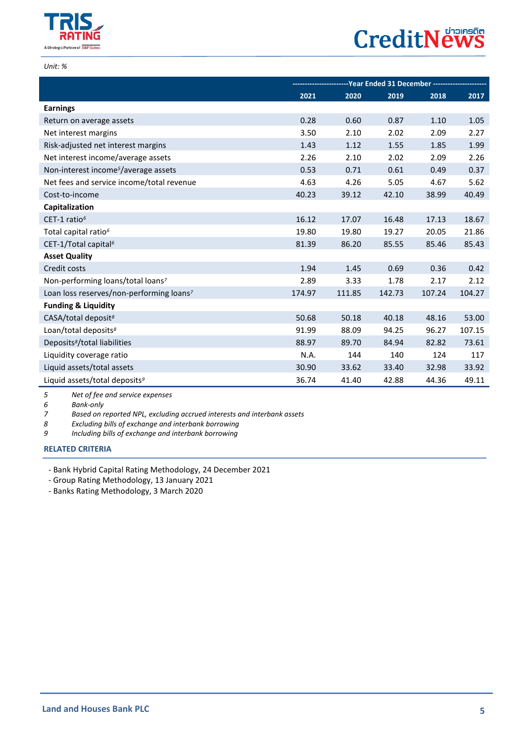

# **CreditNews**

*Unit: %*

 $\overline{a}$ 

|                                                      | -- Year Ended 31 December ----------- |        |        |        |        |
|------------------------------------------------------|---------------------------------------|--------|--------|--------|--------|
|                                                      | 2021                                  | 2020   | 2019   | 2018   | 2017   |
| <b>Earnings</b>                                      |                                       |        |        |        |        |
| Return on average assets                             | 0.28                                  | 0.60   | 0.87   | 1.10   | 1.05   |
| Net interest margins                                 | 3.50                                  | 2.10   | 2.02   | 2.09   | 2.27   |
| Risk-adjusted net interest margins                   | 1.43                                  | 1.12   | 1.55   | 1.85   | 1.99   |
| Net interest income/average assets                   | 2.26                                  | 2.10   | 2.02   | 2.09   | 2.26   |
| Non-interest income <sup>5</sup> /average assets     | 0.53                                  | 0.71   | 0.61   | 0.49   | 0.37   |
| Net fees and service income/total revenue            | 4.63                                  | 4.26   | 5.05   | 4.67   | 5.62   |
| Cost-to-income                                       | 40.23                                 | 39.12  | 42.10  | 38.99  | 40.49  |
| Capitalization                                       |                                       |        |        |        |        |
| CET-1 ratio <sup>6</sup>                             | 16.12                                 | 17.07  | 16.48  | 17.13  | 18.67  |
| Total capital ratio <sup>6</sup>                     | 19.80                                 | 19.80  | 19.27  | 20.05  | 21.86  |
| CET-1/Total capital <sup>6</sup>                     | 81.39                                 | 86.20  | 85.55  | 85.46  | 85.43  |
| <b>Asset Quality</b>                                 |                                       |        |        |        |        |
| Credit costs                                         | 1.94                                  | 1.45   | 0.69   | 0.36   | 0.42   |
| Non-performing loans/total loans7                    | 2.89                                  | 3.33   | 1.78   | 2.17   | 2.12   |
| Loan loss reserves/non-performing loans <sup>7</sup> | 174.97                                | 111.85 | 142.73 | 107.24 | 104.27 |
| <b>Funding &amp; Liquidity</b>                       |                                       |        |        |        |        |
| CASA/total deposit <sup>8</sup>                      | 50.68                                 | 50.18  | 40.18  | 48.16  | 53.00  |
| Loan/total deposits <sup>8</sup>                     | 91.99                                 | 88.09  | 94.25  | 96.27  | 107.15 |
| Deposits <sup>8</sup> /total liabilities             | 88.97                                 | 89.70  | 84.94  | 82.82  | 73.61  |
| Liquidity coverage ratio                             | N.A.                                  | 144    | 140    | 124    | 117    |
| Liquid assets/total assets                           | 30.90                                 | 33.62  | 33.40  | 32.98  | 33.92  |
| Liquid assets/total deposits <sup>9</sup>            | 36.74                                 | 41.40  | 42.88  | 44.36  | 49.11  |

*5 Net of fee and service expenses*

*6 Bank-only*

*7 Based on reported NPL, excluding accrued interests and interbank assets*

*8 Excluding bills of exchange and interbank borrowing*

*9 Including bills of exchange and interbank borrowing*

# **[RELATED CRITERIA](https://www.trisrating.com/rating-information/rating-criteria/)**

- Bank Hybrid Capital Rating Methodology, 24 December 2021

- Group Rating Methodology, 13 January 2021

- Banks Rating Methodology, 3 March 2020